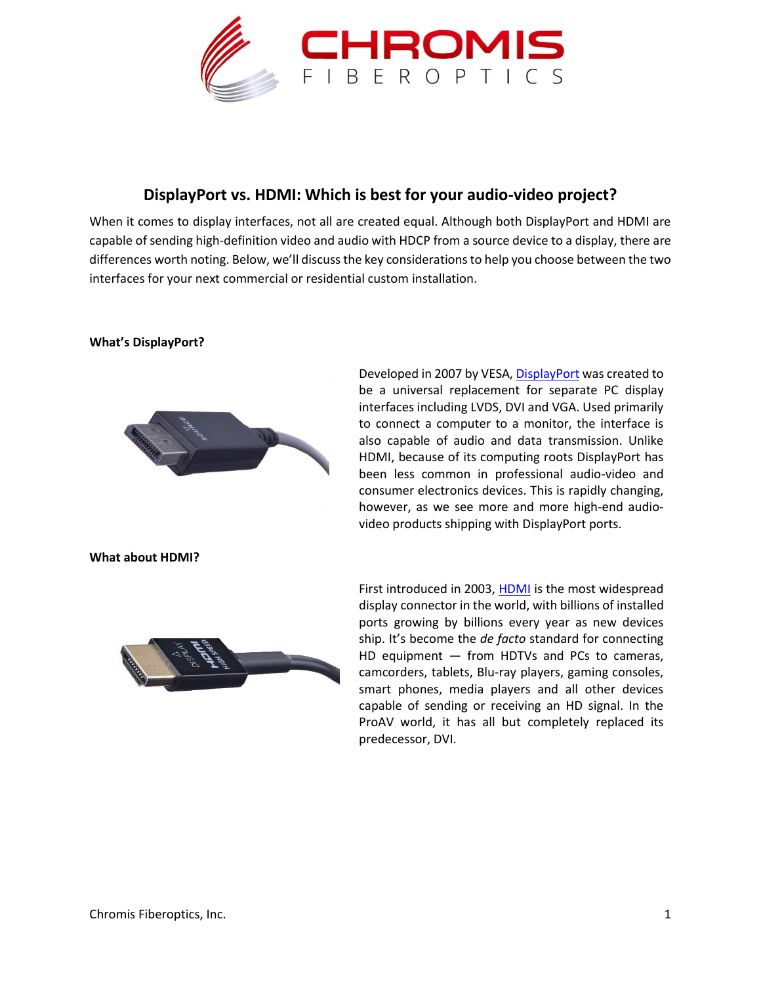

## **DisplayPort vs. HDMI: Which is best for your audio-video project?**

When it comes to display interfaces, not all are created equal. Although both DisplayPort and HDMI are capable of sending high-definition video and audio with HDCP from a source device to a display, there are differences worth noting. Below, we'll discuss the key considerations to help you choose between the two interfaces for your next commercial or residential custom installation.

## **What's DisplayPort?**



Developed in 2007 by VESA, [DisplayPort](http://chromisfiber.com/product-category/active-optical-cables/displayport-active-optical-cables/) was created to be a universal replacement for separate PC display interfaces including LVDS, DVI and VGA. Used primarily to connect a computer to a monitor, the interface is also capable of audio and data transmission. Unlike HDMI, because of its computing roots DisplayPort has been less common in professional audio-video and consumer electronics devices. This is rapidly changing, however, as we see more and more high-end audiovideo products shipping with DisplayPort ports.

**What about HDMI?**



First introduced in 2003, [HDMI](http://chromisfiber.com/product-category/active-optical-cables/hdmi-2-0/) is the most widespread display connector in the world, with billions of installed ports growing by billions every year as new devices ship. It's become the *de facto* standard for connecting HD equipment — from HDTVs and PCs to cameras, camcorders, tablets, Blu-ray players, gaming consoles, smart phones, media players and all other devices capable of sending or receiving an HD signal. In the ProAV world, it has all but completely replaced its predecessor, DVI.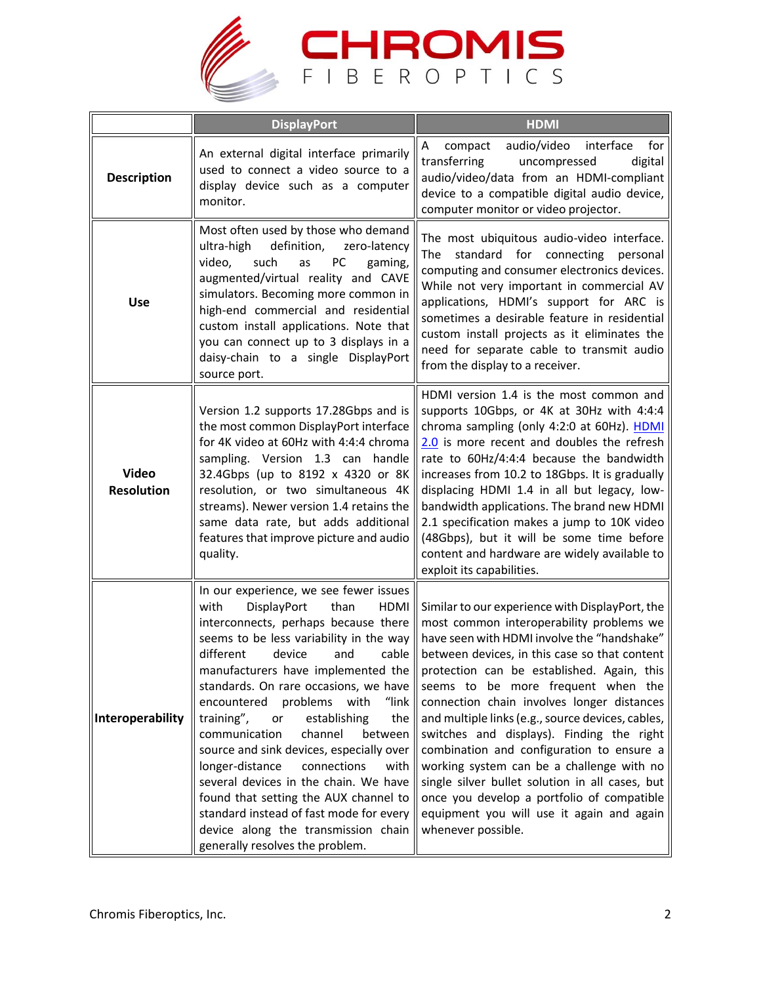

|                                   | <b>DisplayPort</b>                                                                                                                                                                                                                                                                                                                                                                                                                                                                                                                                                                                                                                                                                                       | <b>HDMI</b>                                                                                                                                                                                                                                                                                                                                                                                                                                                                                                                                                                                                                                                                                   |
|-----------------------------------|--------------------------------------------------------------------------------------------------------------------------------------------------------------------------------------------------------------------------------------------------------------------------------------------------------------------------------------------------------------------------------------------------------------------------------------------------------------------------------------------------------------------------------------------------------------------------------------------------------------------------------------------------------------------------------------------------------------------------|-----------------------------------------------------------------------------------------------------------------------------------------------------------------------------------------------------------------------------------------------------------------------------------------------------------------------------------------------------------------------------------------------------------------------------------------------------------------------------------------------------------------------------------------------------------------------------------------------------------------------------------------------------------------------------------------------|
| <b>Description</b>                | An external digital interface primarily<br>used to connect a video source to a<br>display device such as a computer<br>monitor.                                                                                                                                                                                                                                                                                                                                                                                                                                                                                                                                                                                          | Α<br>audio/video<br>interface<br>for<br>compact<br>transferring<br>digital<br>uncompressed<br>audio/video/data from an HDMI-compliant<br>device to a compatible digital audio device,<br>computer monitor or video projector.                                                                                                                                                                                                                                                                                                                                                                                                                                                                 |
| <b>Use</b>                        | Most often used by those who demand<br>ultra-high<br>definition,<br>zero-latency<br>video,<br>such<br>PC<br>gaming,<br>as<br>augmented/virtual reality and CAVE<br>simulators. Becoming more common in<br>high-end commercial and residential<br>custom install applications. Note that<br>you can connect up to 3 displays in a<br>daisy-chain to a single DisplayPort<br>source port.                                                                                                                                                                                                                                                                                                                                  | The most ubiquitous audio-video interface.<br>The standard for connecting<br>personal<br>computing and consumer electronics devices.<br>While not very important in commercial AV<br>applications, HDMI's support for ARC is<br>sometimes a desirable feature in residential<br>custom install projects as it eliminates the<br>need for separate cable to transmit audio<br>from the display to a receiver.                                                                                                                                                                                                                                                                                  |
| <b>Video</b><br><b>Resolution</b> | Version 1.2 supports 17.28Gbps and is<br>the most common DisplayPort interface<br>for 4K video at 60Hz with 4:4:4 chroma<br>sampling. Version 1.3 can handle<br>32.4Gbps (up to 8192 x 4320 or 8K<br>resolution, or two simultaneous 4K<br>streams). Newer version 1.4 retains the<br>same data rate, but adds additional<br>features that improve picture and audio<br>quality.                                                                                                                                                                                                                                                                                                                                         | HDMI version 1.4 is the most common and<br>supports 10Gbps, or 4K at 30Hz with 4:4:4<br>chroma sampling (only 4:2:0 at 60Hz). HDMI<br>2.0 is more recent and doubles the refresh<br>rate to 60Hz/4:4:4 because the bandwidth<br>increases from 10.2 to 18Gbps. It is gradually<br>displacing HDMI 1.4 in all but legacy, low-<br>bandwidth applications. The brand new HDMI<br>2.1 specification makes a jump to 10K video<br>(48Gbps), but it will be some time before<br>content and hardware are widely available to<br>exploit its capabilities.                                                                                                                                          |
| Interoperability                  | In our experience, we see fewer issues<br>DisplayPort<br>with<br>than<br><b>HDMI</b><br>interconnects, perhaps because there<br>seems to be less variability in the way<br>different<br>device<br>and<br>cable<br>manufacturers have implemented the<br>standards. On rare occasions, we have<br>problems<br>"link<br>encountered<br>with<br>training",<br>establishing<br>the<br>or<br>channel<br>communication<br>between<br>source and sink devices, especially over<br>longer-distance<br>connections<br>with<br>several devices in the chain. We have<br>found that setting the AUX channel to<br>standard instead of fast mode for every<br>device along the transmission chain<br>generally resolves the problem. | Similar to our experience with DisplayPort, the<br>most common interoperability problems we<br>have seen with HDMI involve the "handshake"<br>between devices, in this case so that content<br>protection can be established. Again, this<br>seems to be more frequent when the<br>connection chain involves longer distances<br>and multiple links (e.g., source devices, cables,<br>switches and displays). Finding the right<br>combination and configuration to ensure a<br>working system can be a challenge with no<br>single silver bullet solution in all cases, but<br>once you develop a portfolio of compatible<br>equipment you will use it again and again<br>whenever possible. |